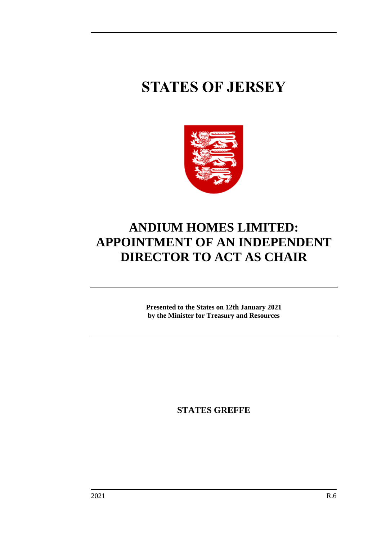# **STATES OF JERSEY**



# **ANDIUM HOMES LIMITED: APPOINTMENT OF AN INDEPENDENT DIRECTOR TO ACT AS CHAIR**

**Presented to the States on 12th January 2021 by the Minister for Treasury and Resources**

**STATES GREFFE**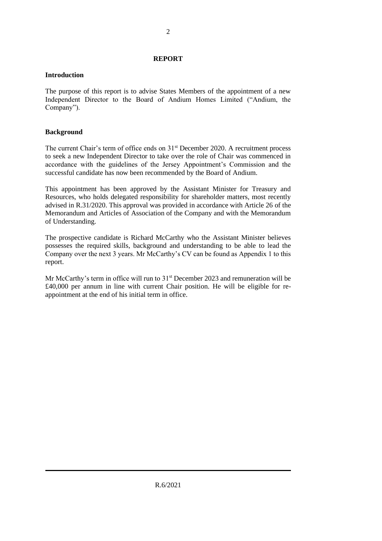# **REPORT**

# **Introduction**

The purpose of this report is to advise States Members of the appointment of a new Independent Director to the Board of Andium Homes Limited ("Andium, the Company").

# **Background**

The current Chair's term of office ends on  $31<sup>st</sup>$  December 2020. A recruitment process to seek a new Independent Director to take over the role of Chair was commenced in accordance with the guidelines of the Jersey Appointment's Commission and the successful candidate has now been recommended by the Board of Andium.

This appointment has been approved by the Assistant Minister for Treasury and Resources, who holds delegated responsibility for shareholder matters, most recently advised in R.31/2020. This approval was provided in accordance with Article 26 of the Memorandum and Articles of Association of the Company and with the Memorandum of Understanding.

The prospective candidate is Richard McCarthy who the Assistant Minister believes possesses the required skills, background and understanding to be able to lead the Company over the next 3 years. Mr McCarthy's CV can be found as Appendix 1 to this report.

Mr McCarthy's term in office will run to 31<sup>st</sup> December 2023 and remuneration will be £40,000 per annum in line with current Chair position. He will be eligible for reappointment at the end of his initial term in office.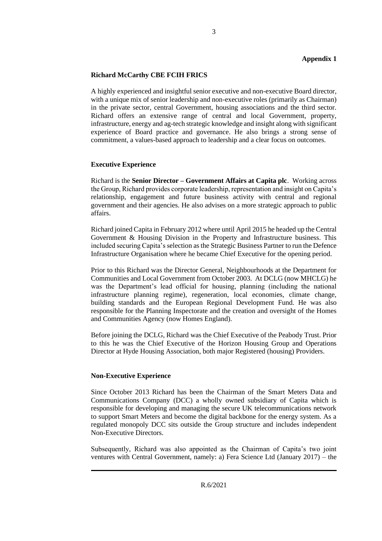# **Appendix 1**

# **Richard McCarthy CBE FCIH FRICS**

A highly experienced and insightful senior executive and non-executive Board director, with a unique mix of senior leadership and non-executive roles (primarily as Chairman) in the private sector, central Government, housing associations and the third sector. Richard offers an extensive range of central and local Government, property, infrastructure, energy and ag-tech strategic knowledge and insight along with significant experience of Board practice and governance. He also brings a strong sense of commitment, a values-based approach to leadership and a clear focus on outcomes.

#### **Executive Experience**

Richard is the **Senior Director – Government Affairs at Capita plc**. Working across the Group, Richard provides corporate leadership, representation and insight on Capita's relationship, engagement and future business activity with central and regional government and their agencies. He also advises on a more strategic approach to public affairs.

Richard joined Capita in February 2012 where until April 2015 he headed up the Central Government & Housing Division in the Property and Infrastructure business. This included securing Capita's selection as the Strategic Business Partner to run the Defence Infrastructure Organisation where he became Chief Executive for the opening period.

Prior to this Richard was the Director General, Neighbourhoods at the Department for Communities and Local Government from October 2003. At DCLG (now MHCLG) he was the Department's lead official for housing, planning (including the national infrastructure planning regime), regeneration, local economies, climate change, building standards and the European Regional Development Fund. He was also responsible for the Planning Inspectorate and the creation and oversight of the Homes and Communities Agency (now Homes England).

Before joining the DCLG, Richard was the Chief Executive of the Peabody Trust. Prior to this he was the Chief Executive of the Horizon Housing Group and Operations Director at Hyde Housing Association, both major Registered (housing) Providers.

#### **Non-Executive Experience**

Since October 2013 Richard has been the Chairman of the Smart Meters Data and Communications Company (DCC) a wholly owned subsidiary of Capita which is responsible for developing and managing the secure UK telecommunications network to support Smart Meters and become the digital backbone for the energy system. As a regulated monopoly DCC sits outside the Group structure and includes independent Non-Executive Directors.

Subsequently, Richard was also appointed as the Chairman of Capita's two joint ventures with Central Government, namely: a) Fera Science Ltd (January 2017) – the